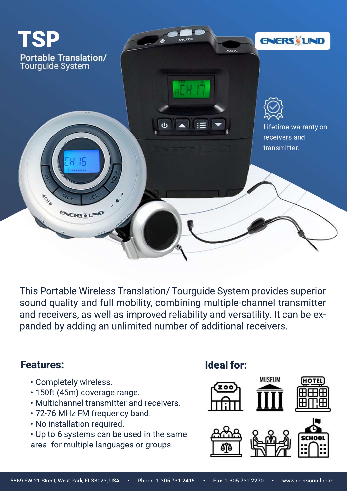#### Features:

- Completely wireless.
- 150ft (45m) coverage range.
- Multichannel transmitter and receivers.
- 72-76 MHz FM frequency band.
- No installation required.
- Up to 6 systems can be used in the same area for multiple languages or groups.

### **Ideal for:**



5869 SW 21 Street, West Park, FL33023, USA • Phone: 1 305-731-2416 • Fax: 1 305-731-2270 • www.enersound.com



This Portable Wireless Translation/ Tourguide System provides superior sound quality and full mobility, combining multiple-channel transmitter and receivers, as well as improved reliability and versatility. It can be expanded by adding an unlimited number of additional receivers.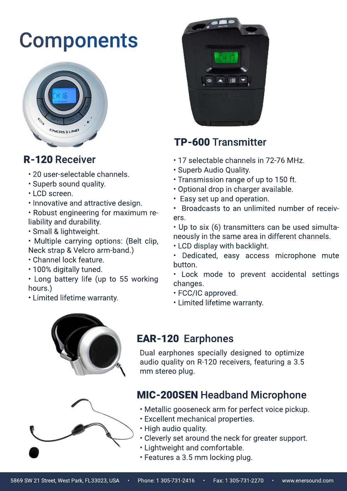# Components



### **R-120 Receiver**

- 20 user-selectable channels.
- Superb sound quality.
- LCD screen.
- Innovative and attractive design.
- Robust engineering for maximum reliability and durability.
- Small & lightweight.
- Multiple carrying options: (Belt clip, Neck strap & Velcro arm-band.)
- Channel lock feature.
- 100% digitally tuned.
- Long battery life (up to 55 working hours.)
- Limited lifetime warranty.



## **TP-600 Transmitter**

- 17 selectable channels in 72-76 MHz.
- Superb Audio Quality.
- Transmission range of up to 150 ft.
- Optional drop in charger available.
- Easy set up and operation.
- Broadcasts to an unlimited number of receivers.
- Up to six (6) transmitters can be used simultaneously in the same area in different channels.
- LCD display with backlight.
- Dedicated, easy access microphone mute button.
- Lock mode to prevent accidental settings changes.
- FCC/IC approved.
- Limited lifetime warranty.



### **EAR-120 Earphones**

Dual earphones specially designed to optimize audio quality on R-120 receivers, featuring a 3.5 mm stereo plug.



### **MIC-200SEN Headband Microphone**

- Metallic gooseneck arm for perfect voice pickup.
- Excellent mechanical properties.
- High audio quality.
- Cleverly set around the neck for greater support.
- Lightweight and comfortable.
- Features a 3.5 mm locking plug.

5869 SW 21 Street, West Park, FL33023, USA • Phone: 1 305-731-2416 • Fax: 1 305-731-2270 • www.enersound.com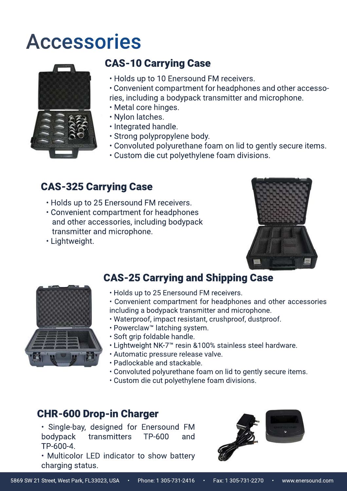# Accessories



# **CAS-10 Carrying Case**

- Holds up to 10 Enersound FM receivers.
- Convenient compartment for headphones and other accessories, including a bodypack transmitter and microphone.
- Metal core hinges.
- Nylon latches.
- Integrated handle.
- Strong polypropylene body.
- Convoluted polyurethane foam on lid to gently secure items.
- Custom die cut polyethylene foam divisions.

## **CAS-325 Carrying Case**

- Holds up to 25 Enersound FM receivers.
- Convenient compartment for headphones and other accessories, including bodypack transmitter and microphone.
- •Lightweight.





# **CAS-25 Carrying and Shipping Case**

- Holds up to 25 Enersound FM receivers.
- Convenient compartment for headphones and other accessories including a bodypack transmitter and microphone. • Waterproof, impact resistant, crushproof, dustproof.
- Powerclaw™ latching system.
- Soft grip foldable handle.
- Lightweight NK-7™ resin &100% stainless steel hardware.
- Automatic pressure release valve.
- Padlockable and stackable.
- Convoluted polyurethane foam on lid to gently secure items.
- Custom die cut polyethylene foam divisions.

#### **CHR-600 Drop-in Charger**

- Single-bay, designed for Enersound FM bodypack transmitters TP-600 and TP-600-4.
- Multicolor LED indicator to show battery charging status.



5869 SW 21 Street, West Park, FL33023, USA • Phone: 1 305-731-2416 • Fax: 1 305-731-2270 • www.enersound.com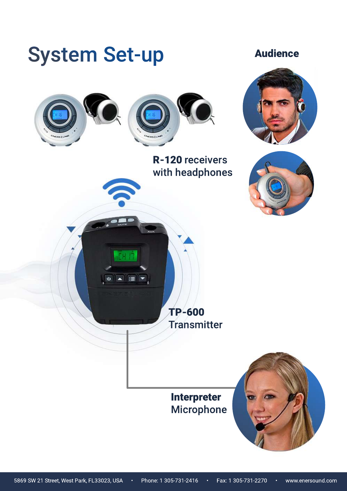#### TP-600 **Transmitter**

#### Interpreter Microphone



5869 SW 21 Street, West Park, FL33023, USA • Phone: 1 305-731-2416 • Fax: 1 305-731-2270 • www.enersound.com

# System Set-up

#### Audience



R-120 receivers with headphones